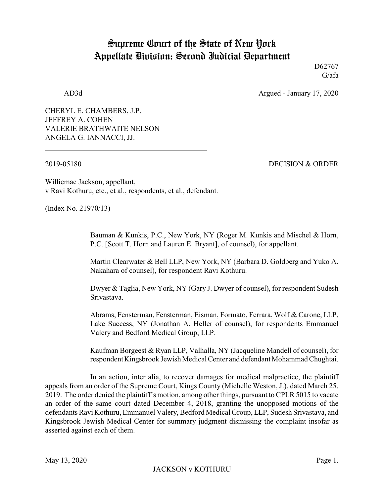## Supreme Court of the State of New York Appellate Division: Second Judicial Department

D62767 G/afa

AD3d Argued - January 17, 2020

CHERYL E. CHAMBERS, J.P. JEFFREY A. COHEN VALERIE BRATHWAITE NELSON ANGELA G. IANNACCI, JJ.

2019-05180 DECISION & ORDER

Williemae Jackson, appellant, v Ravi Kothuru, etc., et al., respondents, et al., defendant.

(Index No. 21970/13)

Bauman & Kunkis, P.C., New York, NY (Roger M. Kunkis and Mischel & Horn, P.C. [Scott T. Horn and Lauren E. Bryant], of counsel), for appellant.

Martin Clearwater & Bell LLP, New York, NY (Barbara D. Goldberg and Yuko A. Nakahara of counsel), for respondent Ravi Kothuru.

Dwyer & Taglia, New York, NY (Gary J. Dwyer of counsel), for respondent Sudesh Srivastava.

Abrams, Fensterman, Fensterman, Eisman, Formato, Ferrara, Wolf & Carone, LLP, Lake Success, NY (Jonathan A. Heller of counsel), for respondents Emmanuel Valery and Bedford Medical Group, LLP.

Kaufman Borgeest & Ryan LLP, Valhalla, NY (Jacqueline Mandell of counsel), for respondentKingsbrook Jewish Medical Center and defendant Mohammad Chughtai.

In an action, inter alia, to recover damages for medical malpractice, the plaintiff appeals from an order of the Supreme Court, Kings County (Michelle Weston, J.), dated March 25, 2019. The order denied the plaintiff's motion, among other things, pursuant to CPLR 5015 to vacate an order of the same court dated December 4, 2018, granting the unopposed motions of the defendants Ravi Kothuru, Emmanuel Valery, Bedford Medical Group, LLP, Sudesh Srivastava, and Kingsbrook Jewish Medical Center for summary judgment dismissing the complaint insofar as asserted against each of them.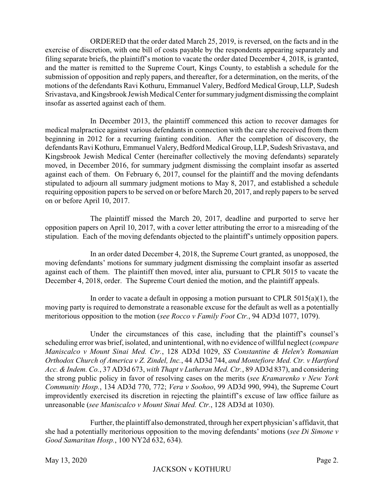ORDERED that the order dated March 25, 2019, is reversed, on the facts and in the exercise of discretion, with one bill of costs payable by the respondents appearing separately and filing separate briefs, the plaintiff's motion to vacate the order dated December 4, 2018, is granted, and the matter is remitted to the Supreme Court, Kings County, to establish a schedule for the submission of opposition and reply papers, and thereafter, for a determination, on the merits, of the motions of the defendants Ravi Kothuru, Emmanuel Valery, Bedford Medical Group, LLP, Sudesh Srivastava, and Kingsbrook Jewish Medical Center for summaryjudgment dismissing the complaint insofar as asserted against each of them.

In December 2013, the plaintiff commenced this action to recover damages for medical malpractice against various defendants in connection with the care she received from them beginning in 2012 for a recurring fainting condition. After the completion of discovery, the defendants Ravi Kothuru, Emmanuel Valery, Bedford Medical Group, LLP, Sudesh Srivastava, and Kingsbrook Jewish Medical Center (hereinafter collectively the moving defendants) separately moved, in December 2016, for summary judgment dismissing the complaint insofar as asserted against each of them. On February 6, 2017, counsel for the plaintiff and the moving defendants stipulated to adjourn all summary judgment motions to May 8, 2017, and established a schedule requiring opposition papers to be served on or before March 20, 2017, and reply papers to be served on or before April 10, 2017.

The plaintiff missed the March 20, 2017, deadline and purported to serve her opposition papers on April 10, 2017, with a cover letter attributing the error to a misreading of the stipulation. Each of the moving defendants objected to the plaintiff's untimely opposition papers.

In an order dated December 4, 2018, the Supreme Court granted, as unopposed, the moving defendants' motions for summary judgment dismissing the complaint insofar as asserted against each of them. The plaintiff then moved, inter alia, pursuant to CPLR 5015 to vacate the December 4, 2018, order. The Supreme Court denied the motion, and the plaintiff appeals.

In order to vacate a default in opposing a motion pursuant to CPLR  $5015(a)(1)$ , the moving party is required to demonstrate a reasonable excuse for the default as well as a potentially meritorious opposition to the motion (*see Rocco v Family Foot Ctr.*, 94 AD3d 1077, 1079).

Under the circumstances of this case, including that the plaintiff's counsel's scheduling error was brief, isolated, and unintentional, with no evidence of willful neglect (*compare Maniscalco v Mount Sinai Med. Ctr.*, 128 AD3d 1029, *SS Constantine & Helen's Romanian Orthodox Church of America v Z. Zindel, Inc.*, 44 AD3d 744, *and Montefiore Med. Ctr. v Hartford Acc. & Indem. Co.*, 37 AD3d 673, *with Thapt v Lutheran Med. Ctr.*, 89 AD3d 837), and considering the strong public policy in favor of resolving cases on the merits (*see Kramarenko v New York Community Hosp.*, 134 AD3d 770, 772; *Vera v Soohoo*, 99 AD3d 990, 994), the Supreme Court improvidently exercised its discretion in rejecting the plaintiff's excuse of law office failure as unreasonable (*see Maniscalco v Mount Sinai Med. Ctr.*, 128 AD3d at 1030).

Further, the plaintiff also demonstrated, through her expert physician's affidavit, that she had a potentially meritorious opposition to the moving defendants' motions (*see Di Simone v Good Samaritan Hosp.*, 100 NY2d 632, 634).